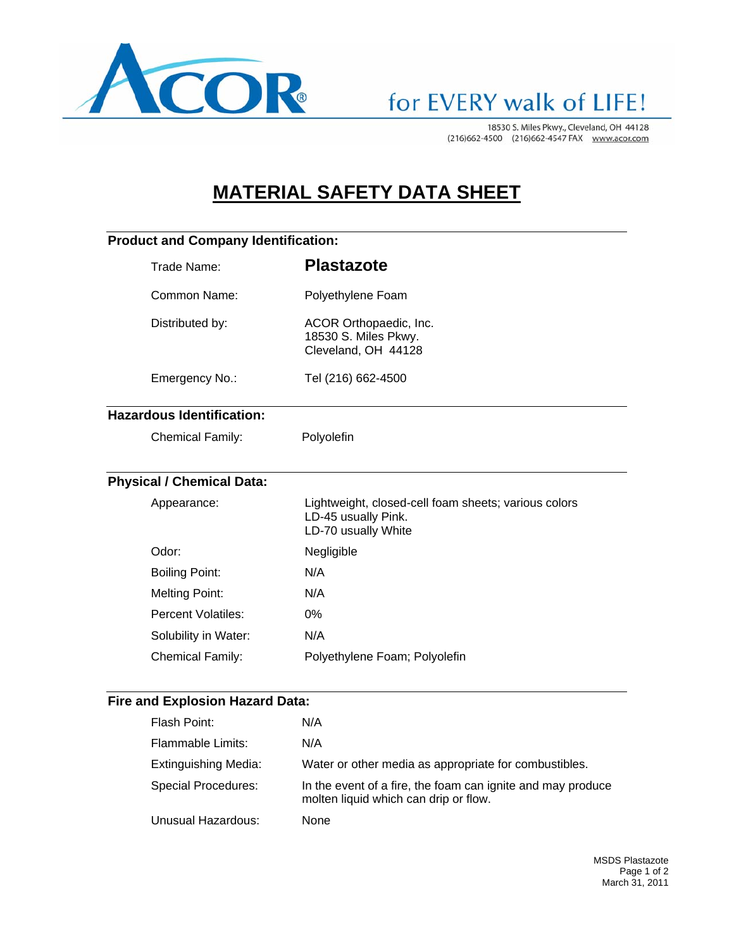

## for EVERY walk of LIFE!

18530 S. Miles Pkwy., Cleveland, OH 44128 (216)662-4500 (216)662-4547 FAX www.acor.com

### **MATERIAL SAFETY DATA SHEET**

### **Product and Company Identification:**

|                                  | Trade Name:               | <b>Plastazote</b>                                                                                  |  |
|----------------------------------|---------------------------|----------------------------------------------------------------------------------------------------|--|
|                                  | Common Name:              | Polyethylene Foam                                                                                  |  |
|                                  | Distributed by:           | ACOR Orthopaedic, Inc.<br>18530 S. Miles Pkwy.<br>Cleveland, OH 44128                              |  |
|                                  | Emergency No.:            | Tel (216) 662-4500                                                                                 |  |
| <b>Hazardous Identification:</b> |                           |                                                                                                    |  |
|                                  | <b>Chemical Family:</b>   | Polyolefin                                                                                         |  |
| <b>Physical / Chemical Data:</b> |                           |                                                                                                    |  |
|                                  | Appearance:               | Lightweight, closed-cell foam sheets; various colors<br>LD-45 usually Pink.<br>LD-70 usually White |  |
|                                  | Odor:                     | Negligible                                                                                         |  |
|                                  | <b>Boiling Point:</b>     | N/A                                                                                                |  |
|                                  | <b>Melting Point:</b>     | N/A                                                                                                |  |
|                                  | <b>Percent Volatiles:</b> | $0\%$                                                                                              |  |
|                                  | Solubility in Water:      | N/A                                                                                                |  |
|                                  | <b>Chemical Family:</b>   | Polyethylene Foam; Polyolefin                                                                      |  |
|                                  |                           |                                                                                                    |  |

### **Fire and Explosion Hazard Data:**

| Flash Point:                | N/A                                                                                                  |
|-----------------------------|------------------------------------------------------------------------------------------------------|
| Flammable Limits:           | N/A                                                                                                  |
| <b>Extinguishing Media:</b> | Water or other media as appropriate for combustibles.                                                |
| Special Procedures:         | In the event of a fire, the foam can ignite and may produce<br>molten liquid which can drip or flow. |
| Unusual Hazardous:          | None                                                                                                 |